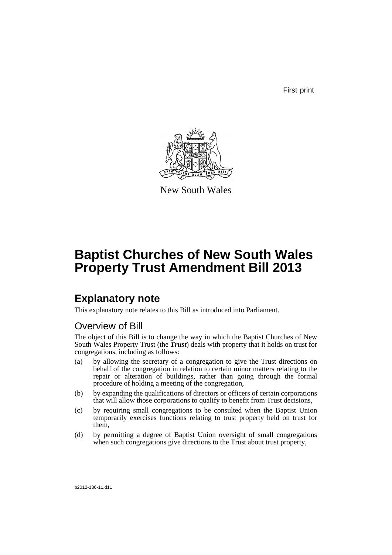First print



New South Wales

# **Baptist Churches of New South Wales Property Trust Amendment Bill 2013**

## **Explanatory note**

This explanatory note relates to this Bill as introduced into Parliament.

## Overview of Bill

The object of this Bill is to change the way in which the Baptist Churches of New South Wales Property Trust (the *Trust*) deals with property that it holds on trust for congregations, including as follows:

- (a) by allowing the secretary of a congregation to give the Trust directions on behalf of the congregation in relation to certain minor matters relating to the repair or alteration of buildings, rather than going through the formal procedure of holding a meeting of the congregation,
- (b) by expanding the qualifications of directors or officers of certain corporations that will allow those corporations to qualify to benefit from Trust decisions,
- (c) by requiring small congregations to be consulted when the Baptist Union temporarily exercises functions relating to trust property held on trust for them,
- (d) by permitting a degree of Baptist Union oversight of small congregations when such congregations give directions to the Trust about trust property,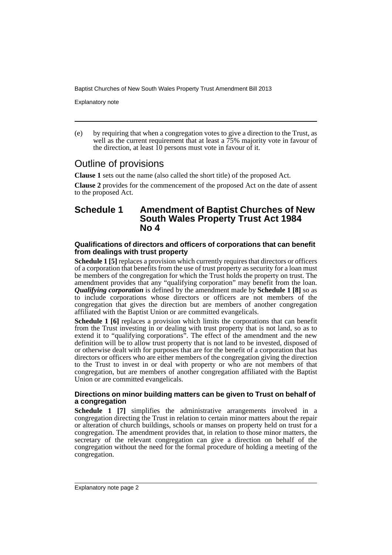Explanatory note

(e) by requiring that when a congregation votes to give a direction to the Trust, as well as the current requirement that at least a  $75\%$  majority vote in favour of the direction, at least  $10$  persons must vote in favour of it.

## Outline of provisions

**Clause 1** sets out the name (also called the short title) of the proposed Act.

**Clause 2** provides for the commencement of the proposed Act on the date of assent to the proposed Act.

### **Schedule 1 Amendment of Baptist Churches of New South Wales Property Trust Act 1984 No 4**

### **Qualifications of directors and officers of corporations that can benefit from dealings with trust property**

**Schedule 1 [5]** replaces a provision which currently requires that directors or officers of a corporation that benefits from the use of trust property as security for a loan must be members of the congregation for which the Trust holds the property on trust. The amendment provides that any "qualifying corporation" may benefit from the loan. *Qualifying corporation* is defined by the amendment made by **Schedule 1 [8]** so as to include corporations whose directors or officers are not members of the congregation that gives the direction but are members of another congregation affiliated with the Baptist Union or are committed evangelicals.

**Schedule 1 [6]** replaces a provision which limits the corporations that can benefit from the Trust investing in or dealing with trust property that is not land, so as to extend it to "qualifying corporations". The effect of the amendment and the new definition will be to allow trust property that is not land to be invested, disposed of or otherwise dealt with for purposes that are for the benefit of a corporation that has directors or officers who are either members of the congregation giving the direction to the Trust to invest in or deal with property or who are not members of that congregation, but are members of another congregation affiliated with the Baptist Union or are committed evangelicals.

### **Directions on minor building matters can be given to Trust on behalf of a congregation**

**Schedule 1 [7]** simplifies the administrative arrangements involved in a congregation directing the Trust in relation to certain minor matters about the repair or alteration of church buildings, schools or manses on property held on trust for a congregation. The amendment provides that, in relation to those minor matters, the secretary of the relevant congregation can give a direction on behalf of the congregation without the need for the formal procedure of holding a meeting of the congregation.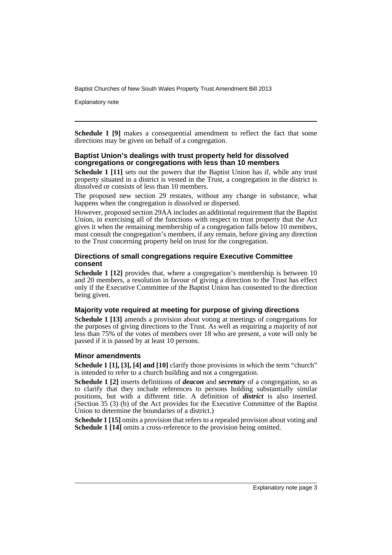Explanatory note

**Schedule 1 [9]** makes a consequential amendment to reflect the fact that some directions may be given on behalf of a congregation.

### **Baptist Union's dealings with trust property held for dissolved congregations or congregations with less than 10 members**

**Schedule 1 [11]** sets out the powers that the Baptist Union has if, while any trust property situated in a district is vested in the Trust, a congregation in the district is dissolved or consists of less than 10 members.

The proposed new section 29 restates, without any change in substance, what happens when the congregation is dissolved or dispersed.

However, proposed section 29AA includes an additional requirement that the Baptist Union, in exercising all of the functions with respect to trust property that the Act gives it when the remaining membership of a congregation falls below 10 members, must consult the congregation's members, if any remain, before giving any direction to the Trust concerning property held on trust for the congregation.

### **Directions of small congregations require Executive Committee consent**

**Schedule 1 [12]** provides that, where a congregation's membership is between 10 and 20 members, a resolution in favour of giving a direction to the Trust has effect only if the Executive Committee of the Baptist Union has consented to the direction being given.

### **Majority vote required at meeting for purpose of giving directions**

**Schedule 1 [13]** amends a provision about voting at meetings of congregations for the purposes of giving directions to the Trust. As well as requiring a majority of not less than 75% of the votes of members over 18 who are present, a vote will only be passed if it is passed by at least 10 persons.

### **Minor amendments**

**Schedule 1 [1], [3], [4] and [10]** clarify those provisions in which the term "church" is intended to refer to a church building and not a congregation.

**Schedule 1 [2]** inserts definitions of *deacon* and *secretary* of a congregation, so as to clarify that they include references to persons holding substantially similar positions, but with a different title. A definition of *district* is also inserted. (Section 35 (3) (b) of the Act provides for the Executive Committee of the Baptist Union to determine the boundaries of a district.)

**Schedule 1** [15] omits a provision that refers to a repealed provision about voting and **Schedule 1 [14]** omits a cross-reference to the provision being omitted.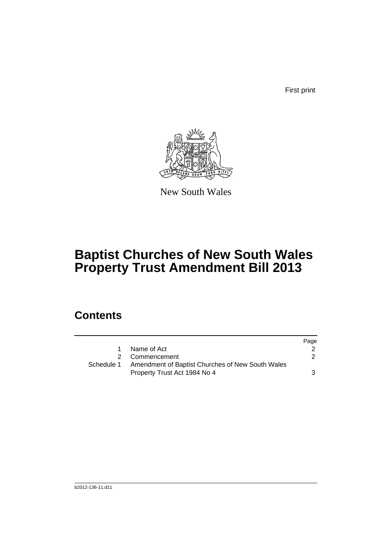First print



New South Wales

# **Baptist Churches of New South Wales Property Trust Amendment Bill 2013**

## **Contents**

|            |                                                  | Page |
|------------|--------------------------------------------------|------|
| 1.         | Name of Act                                      |      |
|            | 2 Commencement                                   | 2    |
| Schedule 1 | Amendment of Baptist Churches of New South Wales |      |
|            | Property Trust Act 1984 No 4                     | 3    |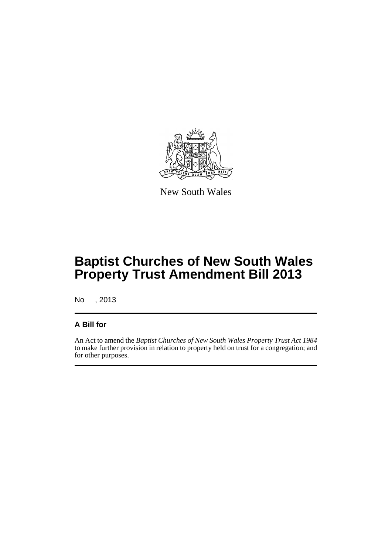

New South Wales

# **Baptist Churches of New South Wales Property Trust Amendment Bill 2013**

No , 2013

### **A Bill for**

An Act to amend the *Baptist Churches of New South Wales Property Trust Act 1984* to make further provision in relation to property held on trust for a congregation; and for other purposes.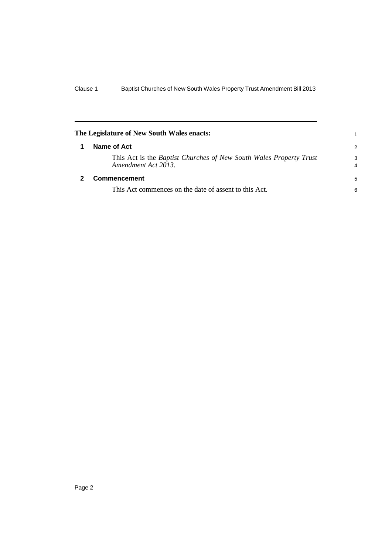<span id="page-7-1"></span><span id="page-7-0"></span>

| The Legislature of New South Wales enacts:                                                       |        |  |
|--------------------------------------------------------------------------------------------------|--------|--|
| Name of Act                                                                                      | 2      |  |
| This Act is the <i>Baptist Churches of New South Wales Property Trust</i><br>Amendment Act 2013. | 3<br>4 |  |
| <b>Commencement</b>                                                                              | 5      |  |
| This Act commences on the date of assent to this Act.                                            | 6      |  |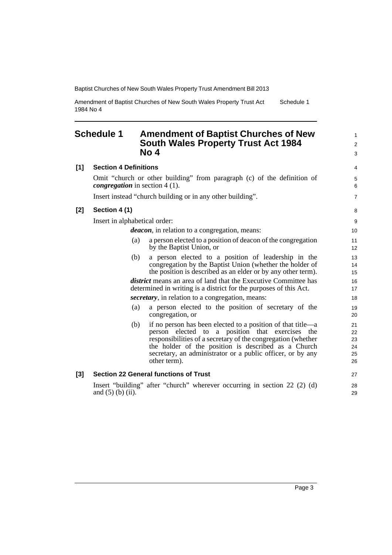Amendment of Baptist Churches of New South Wales Property Trust Act 1984 No 4 Schedule 1

## <span id="page-8-0"></span>**Schedule 1 Amendment of Baptist Churches of New South Wales Property Trust Act 1984 No 4**

|     | No 4                                                                                                                                                                                                                                                                                                                       | 3                                |
|-----|----------------------------------------------------------------------------------------------------------------------------------------------------------------------------------------------------------------------------------------------------------------------------------------------------------------------------|----------------------------------|
| [1] | <b>Section 4 Definitions</b>                                                                                                                                                                                                                                                                                               | 4                                |
|     | Omit "church or other building" from paragraph (c) of the definition of<br><i>congregation</i> in section $4(1)$ .                                                                                                                                                                                                         | 5<br>6                           |
|     | Insert instead "church building or in any other building".                                                                                                                                                                                                                                                                 | $\overline{7}$                   |
| [2] | Section 4 (1)                                                                                                                                                                                                                                                                                                              | 8                                |
|     | Insert in alphabetical order:                                                                                                                                                                                                                                                                                              | 9                                |
|     | <i>deacon</i> , in relation to a congregation, means:                                                                                                                                                                                                                                                                      | 10                               |
|     | a person elected to a position of deacon of the congregation<br>(a)<br>by the Baptist Union, or                                                                                                                                                                                                                            | 11<br>12                         |
|     | a person elected to a position of leadership in the<br>(b)<br>congregation by the Baptist Union (whether the holder of<br>the position is described as an elder or by any other term).                                                                                                                                     | 13<br>14<br>15                   |
|     | <i>district</i> means an area of land that the Executive Committee has<br>determined in writing is a district for the purposes of this Act.                                                                                                                                                                                | 16<br>17                         |
|     | <i>secretary</i> , in relation to a congregation, means:                                                                                                                                                                                                                                                                   | 18                               |
|     | a person elected to the position of secretary of the<br>(a)<br>congregation, or                                                                                                                                                                                                                                            | 19<br>20                         |
|     | if no person has been elected to a position of that title—a<br>(b)<br>person elected to a position that exercises the<br>responsibilities of a secretary of the congregation (whether<br>the holder of the position is described as a Church<br>secretary, an administrator or a public officer, or by any<br>other term). | 21<br>22<br>23<br>24<br>25<br>26 |
| [3] | <b>Section 22 General functions of Trust</b>                                                                                                                                                                                                                                                                               | 27                               |
|     | Insert "building" after "church" wherever occurring in section 22 (2) (d)<br>and $(5)$ (b) (ii).                                                                                                                                                                                                                           | 28<br>29                         |

1 2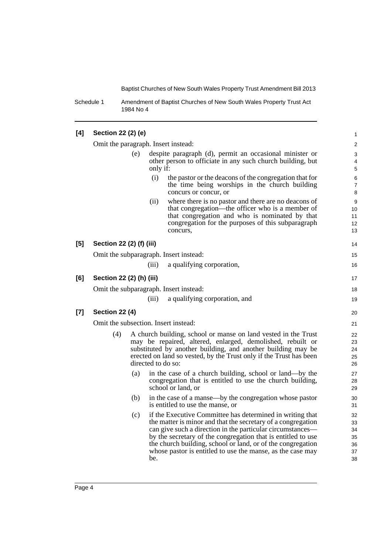1

Schedule 1 Amendment of Baptist Churches of New South Wales Property Trust Act 1984 No 4

### **[4] Section 22 (2) (e)**

|       | Omit the paragraph. Insert instead:  |     |                    |                                                                                                                                                                                                                                                                                                                                                                                      | $\sqrt{2}$                             |
|-------|--------------------------------------|-----|--------------------|--------------------------------------------------------------------------------------------------------------------------------------------------------------------------------------------------------------------------------------------------------------------------------------------------------------------------------------------------------------------------------------|----------------------------------------|
|       |                                      | (e) | only if:           | despite paragraph (d), permit an occasional minister or<br>other person to officiate in any such church building, but                                                                                                                                                                                                                                                                | 3<br>4<br>5                            |
|       |                                      |     | (i)                | the pastor or the deacons of the congregation that for<br>the time being worships in the church building<br>concurs or concur, or                                                                                                                                                                                                                                                    | $\,6\,$<br>$\overline{7}$<br>8         |
|       |                                      |     | (ii)               | where there is no pastor and there are no deacons of<br>that congregation—the officer who is a member of<br>that congregation and who is nominated by that<br>congregation for the purposes of this subparagraph<br>concurs,                                                                                                                                                         | 9<br>10<br>11<br>12<br>13              |
| [5]   | Section 22 (2) (f) (iii)             |     |                    |                                                                                                                                                                                                                                                                                                                                                                                      | 14                                     |
|       |                                      |     |                    | Omit the subparagraph. Insert instead:                                                                                                                                                                                                                                                                                                                                               | 15                                     |
|       |                                      |     | (iii)              | a qualifying corporation,                                                                                                                                                                                                                                                                                                                                                            | 16                                     |
| [6]   | Section 22 (2) (h) (iii)             |     |                    |                                                                                                                                                                                                                                                                                                                                                                                      | 17                                     |
|       |                                      |     |                    | Omit the subparagraph. Insert instead:                                                                                                                                                                                                                                                                                                                                               | 18                                     |
|       |                                      |     | (iii)              | a qualifying corporation, and                                                                                                                                                                                                                                                                                                                                                        | 19                                     |
| $[7]$ | <b>Section 22 (4)</b>                |     |                    |                                                                                                                                                                                                                                                                                                                                                                                      | 20                                     |
|       | Omit the subsection. Insert instead: |     |                    |                                                                                                                                                                                                                                                                                                                                                                                      | 21                                     |
|       | (4)                                  |     | directed to do so: | A church building, school or manse on land vested in the Trust<br>may be repaired, altered, enlarged, demolished, rebuilt or<br>substituted by another building, and another building may be<br>erected on land so vested, by the Trust only if the Trust has been                                                                                                                   | 22<br>23<br>24<br>25<br>26             |
|       |                                      | (a) |                    | in the case of a church building, school or land—by the<br>congregation that is entitled to use the church building,<br>school or land, or                                                                                                                                                                                                                                           | 27<br>28<br>29                         |
|       |                                      | (b) |                    | in the case of a manse—by the congregation whose pastor<br>is entitled to use the manse, or                                                                                                                                                                                                                                                                                          | 30<br>31                               |
|       |                                      | (c) | be.                | if the Executive Committee has determined in writing that<br>the matter is minor and that the secretary of a congregation<br>can give such a direction in the particular circumstances—<br>by the secretary of the congregation that is entitled to use<br>the church building, school or land, or of the congregation<br>whose pastor is entitled to use the manse, as the case may | 32<br>33<br>34<br>35<br>36<br>37<br>38 |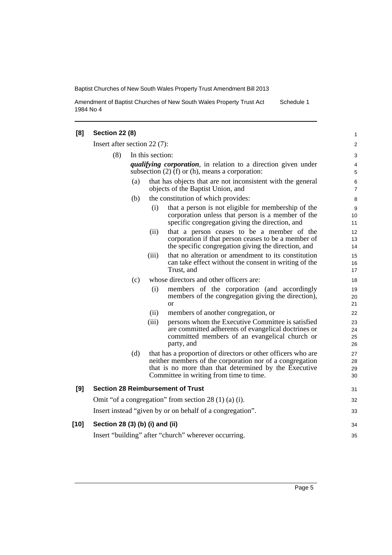Amendment of Baptist Churches of New South Wales Property Trust Act 1984 No 4 Schedule 1

| [8]    | <b>Section 22 (8)</b>                                |                  |       |                                                                                                                                                                                                                              | $\mathbf{1}$         |
|--------|------------------------------------------------------|------------------|-------|------------------------------------------------------------------------------------------------------------------------------------------------------------------------------------------------------------------------------|----------------------|
|        | Insert after section $22(7)$ :                       |                  |       |                                                                                                                                                                                                                              | $\overline{2}$       |
|        | (8)                                                  | In this section: |       |                                                                                                                                                                                                                              | 3                    |
|        |                                                      |                  |       | <i>qualifying corporation</i> , in relation to a direction given under<br>subsection $(2)$ (f) or (h), means a corporation:                                                                                                  | 4<br>5               |
|        |                                                      | (a)              |       | that has objects that are not inconsistent with the general<br>objects of the Baptist Union, and                                                                                                                             | 6<br>$\overline{7}$  |
|        |                                                      | (b)              |       | the constitution of which provides:                                                                                                                                                                                          | 8                    |
|        |                                                      |                  | (i)   | that a person is not eligible for membership of the<br>corporation unless that person is a member of the<br>specific congregation giving the direction, and                                                                  | 9<br>10<br>11        |
|        |                                                      |                  | (ii)  | that a person ceases to be a member of the<br>corporation if that person ceases to be a member of<br>the specific congregation giving the direction, and                                                                     | 12<br>13<br>14       |
|        |                                                      |                  | (iii) | that no alteration or amendment to its constitution<br>can take effect without the consent in writing of the<br>Trust, and                                                                                                   | 15<br>16<br>17       |
|        |                                                      | (c)              |       | whose directors and other officers are:                                                                                                                                                                                      | 18                   |
|        |                                                      |                  | (i)   | members of the corporation (and accordingly<br>members of the congregation giving the direction),<br><sub>or</sub>                                                                                                           | 19<br>20<br>21       |
|        |                                                      |                  | (ii)  | members of another congregation, or                                                                                                                                                                                          | 22                   |
|        |                                                      |                  | (iii) | persons whom the Executive Committee is satisfied<br>are committed adherents of evangelical doctrines or<br>committed members of an evangelical church or<br>party, and                                                      | 23<br>24<br>25<br>26 |
|        |                                                      | (d)              |       | that has a proportion of directors or other officers who are<br>neither members of the corporation nor of a congregation<br>that is no more than that determined by the Executive<br>Committee in writing from time to time. | 27<br>28<br>29<br>30 |
| [9]    |                                                      |                  |       | <b>Section 28 Reimbursement of Trust</b>                                                                                                                                                                                     | 31                   |
|        |                                                      |                  |       | Omit "of a congregation" from section $28(1)(a)(i)$ .                                                                                                                                                                        | 32                   |
|        |                                                      |                  |       | Insert instead "given by or on behalf of a congregation".                                                                                                                                                                    | 33                   |
| $[10]$ | Section 28 (3) (b) (i) and (ii)                      |                  |       |                                                                                                                                                                                                                              | 34                   |
|        | Insert "building" after "church" wherever occurring. |                  |       |                                                                                                                                                                                                                              | 35                   |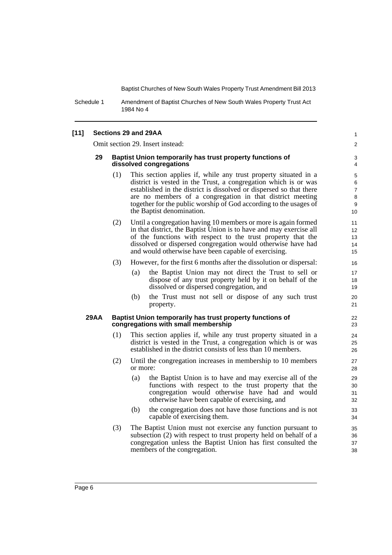Schedule 1 Amendment of Baptist Churches of New South Wales Property Trust Act 1984 No 4

### **[11] Sections 29 and 29AA**

Omit section 29. Insert instead:

#### **29 Baptist Union temporarily has trust property functions of dissolved congregations**

- (1) This section applies if, while any trust property situated in a district is vested in the Trust, a congregation which is or was established in the district is dissolved or dispersed so that there are no members of a congregation in that district meeting together for the public worship of God according to the usages of the Baptist denomination.
- (2) Until a congregation having 10 members or more is again formed in that district, the Baptist Union is to have and may exercise all of the functions with respect to the trust property that the dissolved or dispersed congregation would otherwise have had and would otherwise have been capable of exercising.
- (3) However, for the first 6 months after the dissolution or dispersal:
	- (a) the Baptist Union may not direct the Trust to sell or dispose of any trust property held by it on behalf of the dissolved or dispersed congregation, and
	- (b) the Trust must not sell or dispose of any such trust property.

#### **29AA Baptist Union temporarily has trust property functions of congregations with small membership**

- (1) This section applies if, while any trust property situated in a district is vested in the Trust, a congregation which is or was established in the district consists of less than 10 members.
- (2) Until the congregation increases in membership to 10 members or more:
	- (a) the Baptist Union is to have and may exercise all of the functions with respect to the trust property that the congregation would otherwise have had and would otherwise have been capable of exercising, and
	- (b) the congregation does not have those functions and is not capable of exercising them.
- (3) The Baptist Union must not exercise any function pursuant to subsection (2) with respect to trust property held on behalf of a congregation unless the Baptist Union has first consulted the members of the congregation.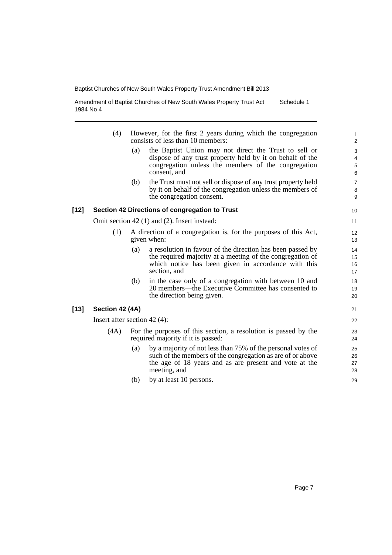Amendment of Baptist Churches of New South Wales Property Trust Act 1984 No 4 Schedule 1

- (4) However, for the first 2 years during which the congregation consists of less than 10 members:
	- (a) the Baptist Union may not direct the Trust to sell or dispose of any trust property held by it on behalf of the congregation unless the members of the congregation consent, and
	- (b) the Trust must not sell or dispose of any trust property held by it on behalf of the congregation unless the members of the congregation consent.

#### **[12] Section 42 Directions of congregation to Trust**

Omit section 42 (1) and (2). Insert instead:

- (1) A direction of a congregation is, for the purposes of this Act, given when:
	- (a) a resolution in favour of the direction has been passed by the required majority at a meeting of the congregation of which notice has been given in accordance with this section, and
	- (b) in the case only of a congregation with between 10 and 20 members—the Executive Committee has consented to the direction being given.

### **[13] Section 42 (4A)**

Insert after section 42 (4):

- (4A) For the purposes of this section, a resolution is passed by the required majority if it is passed:
	- (a) by a majority of not less than 75% of the personal votes of such of the members of the congregation as are of or above the age of 18 years and as are present and vote at the meeting, and
	- (b) by at least 10 persons.